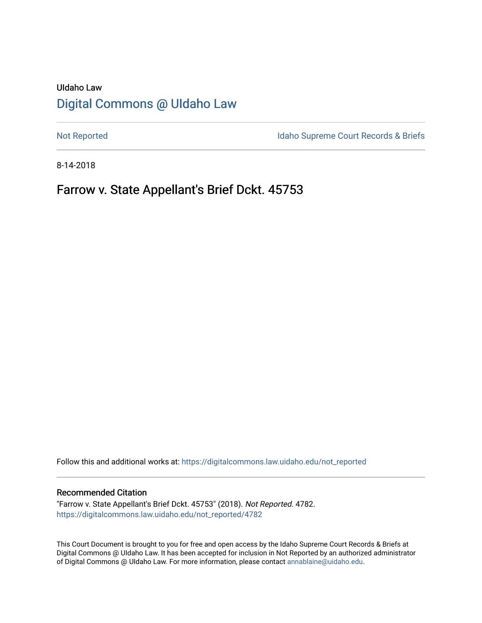# UIdaho Law [Digital Commons @ UIdaho Law](https://digitalcommons.law.uidaho.edu/)

[Not Reported](https://digitalcommons.law.uidaho.edu/not_reported) **Idaho Supreme Court Records & Briefs** 

8-14-2018

# Farrow v. State Appellant's Brief Dckt. 45753

Follow this and additional works at: [https://digitalcommons.law.uidaho.edu/not\\_reported](https://digitalcommons.law.uidaho.edu/not_reported?utm_source=digitalcommons.law.uidaho.edu%2Fnot_reported%2F4782&utm_medium=PDF&utm_campaign=PDFCoverPages) 

#### Recommended Citation

"Farrow v. State Appellant's Brief Dckt. 45753" (2018). Not Reported. 4782. [https://digitalcommons.law.uidaho.edu/not\\_reported/4782](https://digitalcommons.law.uidaho.edu/not_reported/4782?utm_source=digitalcommons.law.uidaho.edu%2Fnot_reported%2F4782&utm_medium=PDF&utm_campaign=PDFCoverPages)

This Court Document is brought to you for free and open access by the Idaho Supreme Court Records & Briefs at Digital Commons @ UIdaho Law. It has been accepted for inclusion in Not Reported by an authorized administrator of Digital Commons @ UIdaho Law. For more information, please contact [annablaine@uidaho.edu](mailto:annablaine@uidaho.edu).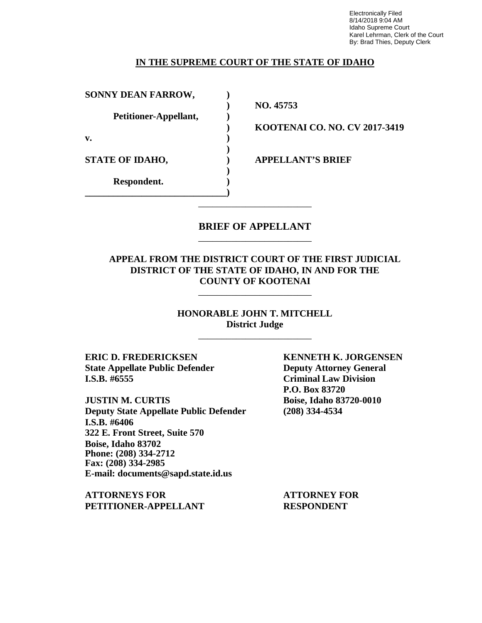Electronically Filed 8/14/2018 9:04 AM Idaho Supreme Court Karel Lehrman, Clerk of the Court By: Brad Thies, Deputy Clerk

### **IN THE SUPREME COURT OF THE STATE OF IDAHO**

**SONNY DEAN FARROW, ) Petitioner-Appellant, ) v. ) STATE OF IDAHO, ) APPELLANT'S BRIEF Respondent. ) \_\_\_\_\_\_\_\_\_\_\_\_\_\_\_\_\_\_\_\_\_\_\_\_\_\_\_\_\_\_)**

**) NO. 45753**

**) KOOTENAI CO. NO. CV 2017-3419**

## **BRIEF OF APPELLANT** \_\_\_\_\_\_\_\_\_\_\_\_\_\_\_\_\_\_\_\_\_\_\_\_

\_\_\_\_\_\_\_\_\_\_\_\_\_\_\_\_\_\_\_\_\_\_\_\_

**)**

**)**

### **APPEAL FROM THE DISTRICT COURT OF THE FIRST JUDICIAL DISTRICT OF THE STATE OF IDAHO, IN AND FOR THE COUNTY OF KOOTENAI**

\_\_\_\_\_\_\_\_\_\_\_\_\_\_\_\_\_\_\_\_\_\_\_\_

**HONORABLE JOHN T. MITCHELL District Judge**

\_\_\_\_\_\_\_\_\_\_\_\_\_\_\_\_\_\_\_\_\_\_\_\_

**ERIC D. FREDERICKSEN KENNETH K. JORGENSEN State Appellate Public Defender Deputy Attorney General I.S.B. #6555 Criminal Law Division**

**JUSTIN M. CURTIS Boise, Idaho 83720-0010 Deputy State Appellate Public Defender (208) 334-4534 I.S.B. #6406 322 E. Front Street, Suite 570 Boise, Idaho 83702 Phone: (208) 334-2712 Fax: (208) 334-2985 E-mail: documents@sapd.state.id.us**

**ATTORNEYS FOR ATTORNEY FOR PETITIONER-APPELLANT RESPONDENT**

**P.O. Box 83720**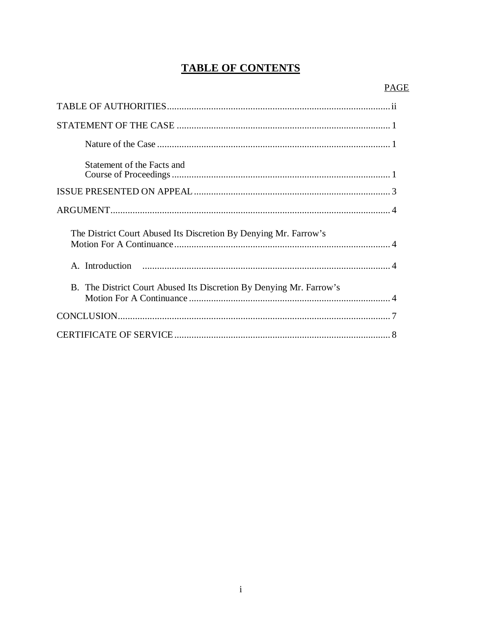# **TABLE OF CONTENTS**

| Statement of the Facts and                                          |
|---------------------------------------------------------------------|
|                                                                     |
|                                                                     |
| The District Court Abused Its Discretion By Denying Mr. Farrow's    |
|                                                                     |
|                                                                     |
| B. The District Court Abused Its Discretion By Denying Mr. Farrow's |
|                                                                     |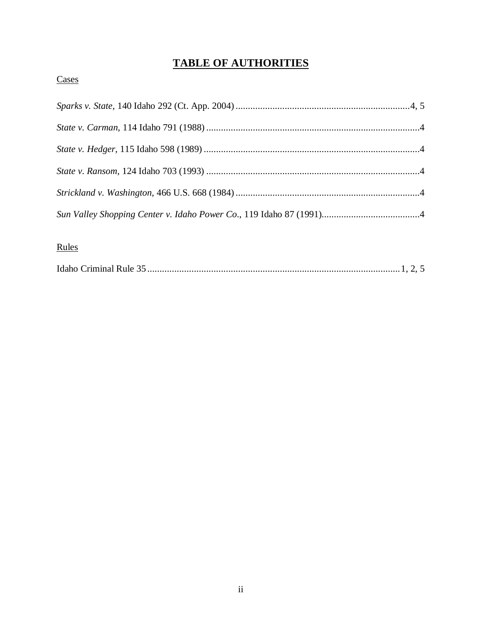# **TABLE OF AUTHORITIES**

# **Cases**

## Rules

|--|--|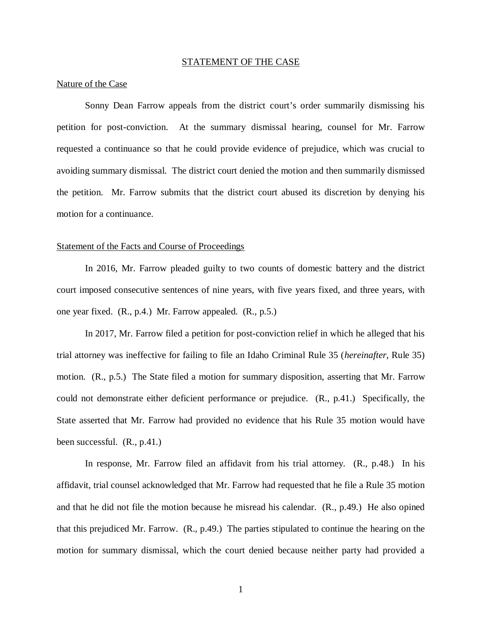#### STATEMENT OF THE CASE

#### Nature of the Case

Sonny Dean Farrow appeals from the district court's order summarily dismissing his petition for post-conviction. At the summary dismissal hearing, counsel for Mr. Farrow requested a continuance so that he could provide evidence of prejudice, which was crucial to avoiding summary dismissal. The district court denied the motion and then summarily dismissed the petition. Mr. Farrow submits that the district court abused its discretion by denying his motion for a continuance.

#### Statement of the Facts and Course of Proceedings

In 2016, Mr. Farrow pleaded guilty to two counts of domestic battery and the district court imposed consecutive sentences of nine years, with five years fixed, and three years, with one year fixed. (R., p.4.) Mr. Farrow appealed. (R., p.5.)

In 2017, Mr. Farrow filed a petition for post-conviction relief in which he alleged that his trial attorney was ineffective for failing to file an Idaho Criminal Rule 35 (*hereinafter*, Rule 35) motion. (R., p.5.) The State filed a motion for summary disposition, asserting that Mr. Farrow could not demonstrate either deficient performance or prejudice. (R., p.41.) Specifically, the State asserted that Mr. Farrow had provided no evidence that his Rule 35 motion would have been successful. (R., p.41.)

In response, Mr. Farrow filed an affidavit from his trial attorney. (R., p.48.) In his affidavit, trial counsel acknowledged that Mr. Farrow had requested that he file a Rule 35 motion and that he did not file the motion because he misread his calendar. (R., p.49.) He also opined that this prejudiced Mr. Farrow. (R., p.49.) The parties stipulated to continue the hearing on the motion for summary dismissal, which the court denied because neither party had provided a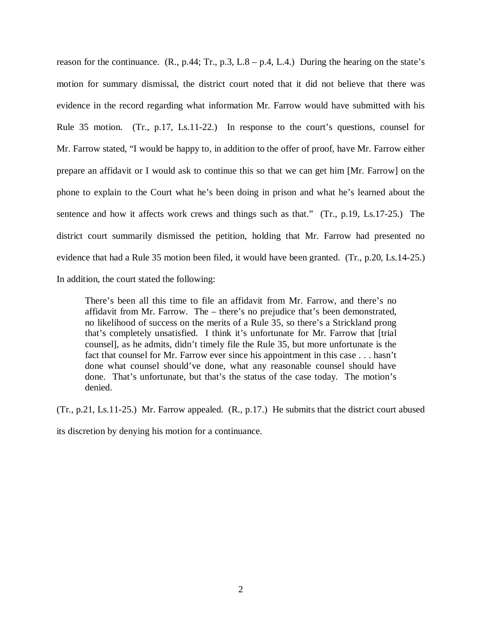reason for the continuance.  $(R., p.44; Tr., p.3, L.8 - p.4, L.4)$  During the hearing on the state's motion for summary dismissal, the district court noted that it did not believe that there was evidence in the record regarding what information Mr. Farrow would have submitted with his Rule 35 motion. (Tr., p.17, Ls.11-22.) In response to the court's questions, counsel for Mr. Farrow stated, "I would be happy to, in addition to the offer of proof, have Mr. Farrow either prepare an affidavit or I would ask to continue this so that we can get him [Mr. Farrow] on the phone to explain to the Court what he's been doing in prison and what he's learned about the sentence and how it affects work crews and things such as that." (Tr., p.19, Ls.17-25.) The district court summarily dismissed the petition, holding that Mr. Farrow had presented no evidence that had a Rule 35 motion been filed, it would have been granted. (Tr., p.20, Ls.14-25.) In addition, the court stated the following:

There's been all this time to file an affidavit from Mr. Farrow, and there's no affidavit from Mr. Farrow. The – there's no prejudice that's been demonstrated, no likelihood of success on the merits of a Rule 35, so there's a Strickland prong that's completely unsatisfied. I think it's unfortunate for Mr. Farrow that [trial counsel], as he admits, didn't timely file the Rule 35, but more unfortunate is the fact that counsel for Mr. Farrow ever since his appointment in this case . . . hasn't done what counsel should've done, what any reasonable counsel should have done. That's unfortunate, but that's the status of the case today. The motion's denied.

(Tr., p.21, Ls.11-25.) Mr. Farrow appealed. (R., p.17.) He submits that the district court abused

its discretion by denying his motion for a continuance.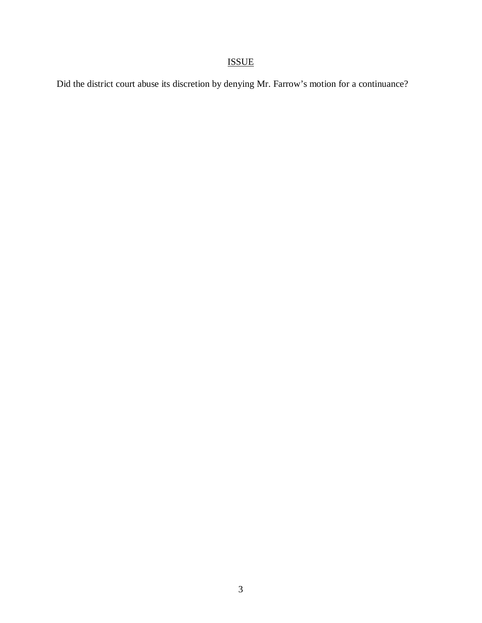# ISSUE

Did the district court abuse its discretion by denying Mr. Farrow's motion for a continuance?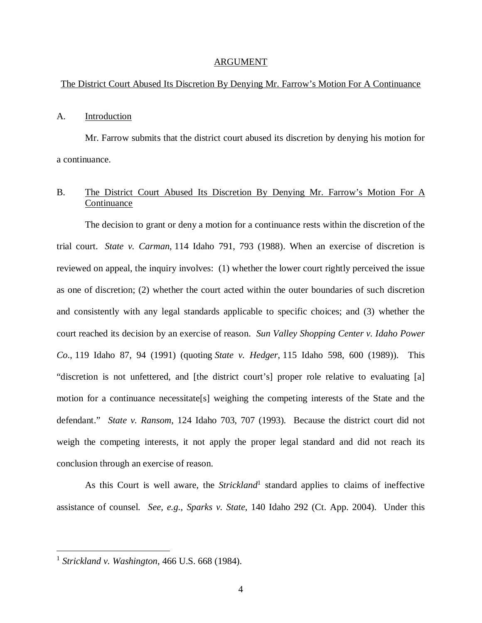#### ARGUMENT

#### The District Court Abused Its Discretion By Denying Mr. Farrow's Motion For A Continuance

#### A. Introduction

Mr. Farrow submits that the district court abused its discretion by denying his motion for a continuance.

### B. The District Court Abused Its Discretion By Denying Mr. Farrow's Motion For A Continuance

The decision to grant or deny a motion for a continuance rests within the discretion of the trial court. *State v. Carman*, 114 Idaho 791, 793 (1988). When an exercise of discretion is reviewed on appeal, the inquiry involves: (1) whether the lower court rightly perceived the issue as one of discretion; (2) whether the court acted within the outer boundaries of such discretion and consistently with any legal standards applicable to specific choices; and (3) whether the court reached its decision by an exercise of reason. *Sun Valley Shopping Center v. Idaho Power Co*., 119 Idaho 87, 94 (1991) (quoting *State v. Hedger*, 115 Idaho 598, 600 (1989)). This "discretion is not unfettered, and [the district court's] proper role relative to evaluating [a] motion for a continuance necessitate[s] weighing the competing interests of the State and the defendant." *State v. Ransom*, 124 Idaho 703, 707 (1993). Because the district court did not weigh the competing interests, it not apply the proper legal standard and did not reach its conclusion through an exercise of reason.

As this Court is well aware, the *Strickland*<sup>[1](#page-7-0)</sup> standard applies to claims of ineffective assistance of counsel. *See, e.g., Sparks v. State*, 140 Idaho 292 (Ct. App. 2004). Under this

<span id="page-7-0"></span><sup>1</sup> *Strickland v. Washington*, 466 U.S. 668 (1984).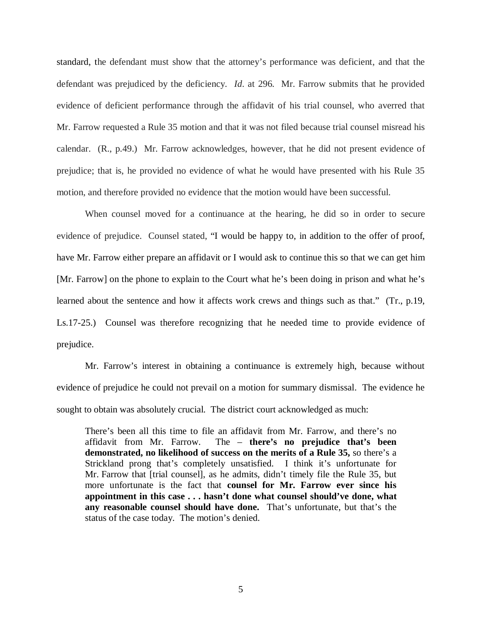standard, the defendant must show that the attorney's performance was deficient, and that the defendant was prejudiced by the deficiency. *Id*. at 296. Mr. Farrow submits that he provided evidence of deficient performance through the affidavit of his trial counsel, who averred that Mr. Farrow requested a Rule 35 motion and that it was not filed because trial counsel misread his calendar. (R., p.49.) Mr. Farrow acknowledges, however, that he did not present evidence of prejudice; that is, he provided no evidence of what he would have presented with his Rule 35 motion, and therefore provided no evidence that the motion would have been successful.

When counsel moved for a continuance at the hearing, he did so in order to secure evidence of prejudice. Counsel stated, "I would be happy to, in addition to the offer of proof, have Mr. Farrow either prepare an affidavit or I would ask to continue this so that we can get him [Mr. Farrow] on the phone to explain to the Court what he's been doing in prison and what he's learned about the sentence and how it affects work crews and things such as that." (Tr., p.19, Ls.17-25.) Counsel was therefore recognizing that he needed time to provide evidence of prejudice.

Mr. Farrow's interest in obtaining a continuance is extremely high, because without evidence of prejudice he could not prevail on a motion for summary dismissal. The evidence he sought to obtain was absolutely crucial. The district court acknowledged as much:

There's been all this time to file an affidavit from Mr. Farrow, and there's no affidavit from Mr. Farrow. The – **there's no prejudice that's been demonstrated, no likelihood of success on the merits of a Rule 35,** so there's a Strickland prong that's completely unsatisfied. I think it's unfortunate for Mr. Farrow that [trial counsel], as he admits, didn't timely file the Rule 35, but more unfortunate is the fact that **counsel for Mr. Farrow ever since his appointment in this case . . . hasn't done what counsel should've done, what any reasonable counsel should have done.** That's unfortunate, but that's the status of the case today. The motion's denied.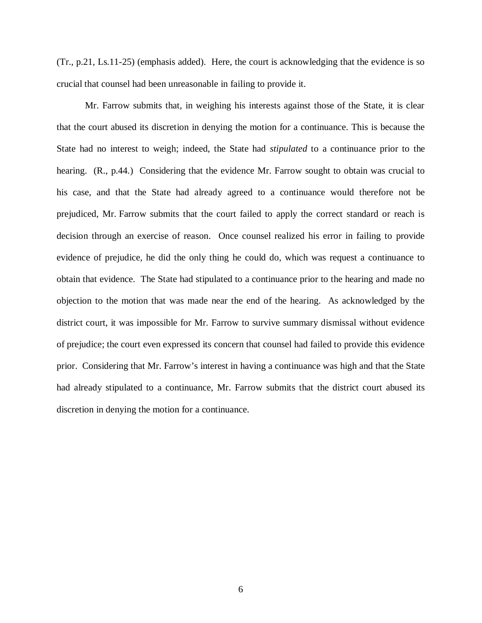(Tr., p.21, Ls.11-25) (emphasis added). Here, the court is acknowledging that the evidence is so crucial that counsel had been unreasonable in failing to provide it.

Mr. Farrow submits that, in weighing his interests against those of the State, it is clear that the court abused its discretion in denying the motion for a continuance. This is because the State had no interest to weigh; indeed, the State had *stipulated* to a continuance prior to the hearing. (R., p.44.) Considering that the evidence Mr. Farrow sought to obtain was crucial to his case, and that the State had already agreed to a continuance would therefore not be prejudiced, Mr. Farrow submits that the court failed to apply the correct standard or reach is decision through an exercise of reason. Once counsel realized his error in failing to provide evidence of prejudice, he did the only thing he could do, which was request a continuance to obtain that evidence. The State had stipulated to a continuance prior to the hearing and made no objection to the motion that was made near the end of the hearing. As acknowledged by the district court, it was impossible for Mr. Farrow to survive summary dismissal without evidence of prejudice; the court even expressed its concern that counsel had failed to provide this evidence prior. Considering that Mr. Farrow's interest in having a continuance was high and that the State had already stipulated to a continuance, Mr. Farrow submits that the district court abused its discretion in denying the motion for a continuance.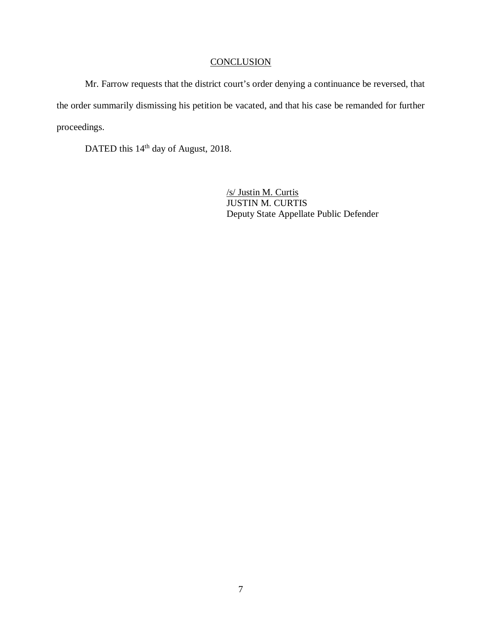## **CONCLUSION**

Mr. Farrow requests that the district court's order denying a continuance be reversed, that the order summarily dismissing his petition be vacated, and that his case be remanded for further proceedings.

DATED this 14<sup>th</sup> day of August, 2018.

/s/ Justin M. Curtis JUSTIN M. CURTIS Deputy State Appellate Public Defender